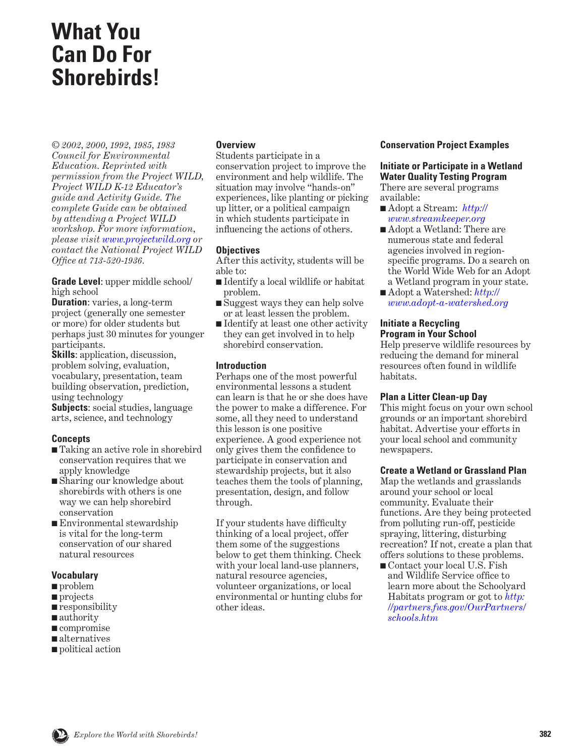# **What You Can Do For Shorebirds!**

*© 2002, 2000, 1992, 1985, 1983 Council for Environmental Education. Reprinted with permission from the Project WILD, Project WILD K-12 Educator's guide and Activity Guide. The complete Guide can be obtained by attending a Project WILD workshop. For more information, please visit [www.projectwild.org](http://www.projectwild.org) or contact the National Project WILD Office at 713-520-1936.*

**Grade Level**: upper middle school/ high school

**Duration**: varies, a long-term project (generally one semester or more) for older students but perhaps just 30 minutes for younger participants.

**Skills**: application, discussion, problem solving, evaluation, vocabulary, presentation, team building observation, prediction, using technology

**Subjects**: social studies, language arts, science, and technology

## **Concepts**

- Taking an active role in shorebird conservation requires that we apply knowledge
- Sharing our knowledge about shorebirds with others is one way we can help shorebird conservation
- Environmental stewardship is vital for the long-term conservation of our shared natural resources

## **Vocabulary**

- problem
- projects
- responsibility
- authority
- compromise
- alternatives
- political action

## **Overview**

Students participate in a conservation project to improve the environment and help wildlife. The situation may involve "hands-on" experiences, like planting or picking up litter, or a political campaign in which students participate in influencing the actions of others.

## **Objectives**

After this activity, students will be able to:

- Identify a local wildlife or habitat problem.
- Suggest ways they can help solve or at least lessen the problem.
- Identify at least one other activity they can get involved in to help shorebird conservation.

## **Introduction**

Perhaps one of the most powerful environmental lessons a student can learn is that he or she does have the power to make a difference. For some, all they need to understand this lesson is one positive experience. A good experience not only gives them the confidence to participate in conservation and stewardship projects, but it also teaches them the tools of planning, presentation, design, and follow through.

If your students have difficulty thinking of a local project, offer them some of the suggestions below to get them thinking. Check with your local land-use planners, natural resource agencies, volunteer organizations, or local environmental or hunting clubs for other ideas.

#### **Conservation Project Examples**

#### **Initiate or Participate in a Wetland Water Quality Testing Program**  There are several programs

available:

- Adopt a Stream: *[http://](http://www.streamkeeper.org) [www.streamkeeper.org](http://www.streamkeeper.org)*
- Adopt a Wetland: There are numerous state and federal agencies involved in regionspecific programs. Do a search on the World Wide Web for an Adopt a Wetland program in your state.
- Adopt a Watershed: *[http://](http://www.adopt-a-watershed.org) [www.adopt-a-watershed.org](http://www.adopt-a-watershed.org)*

#### **Initiate a Recycling Program in Your School**

Help preserve wildlife resources by reducing the demand for mineral resources often found in wildlife habitats.

## **Plan a Litter Clean-up Day**

This might focus on your own school grounds or an important shorebird habitat. Advertise your efforts in your local school and community newspapers.

#### **Create a Wetland or Grassland Plan**

Map the wetlands and grasslands around your school or local community. Evaluate their functions. Are they being protected from polluting run-off, pesticide spraying, littering, disturbing recreation? If not, create a plan that offers solutions to these problems.

■ Contact your local U.S. Fish and Wildlife Service office to learn more about the Schoolyard Habitats program or got to *http: [//partners.fws.gov/OurPartners/](http://partners.fws.gov/OurPartners/schools.htm) schools.htm*

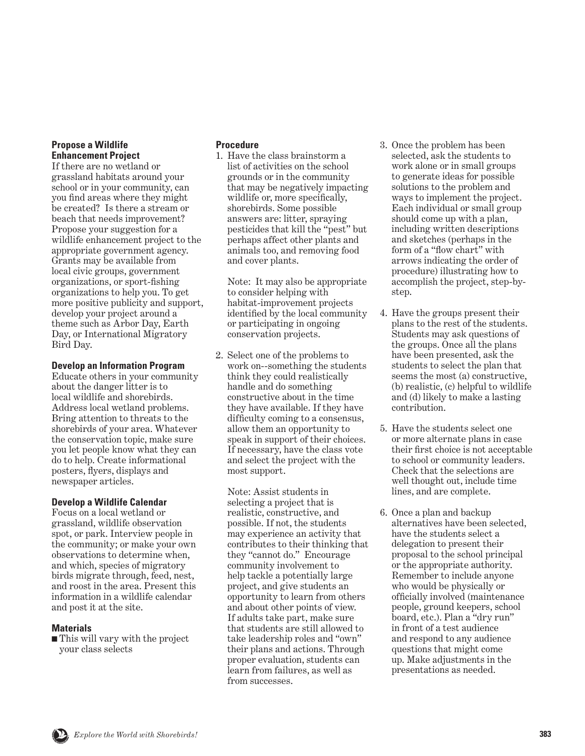#### **Propose a Wildlife Enhancement Project**

If there are no wetland or grassland habitats around your school or in your community, can you find areas where they might be created? Is there a stream or beach that needs improvement? Propose your suggestion for a wildlife enhancement project to the appropriate government agency. Grants may be available from local civic groups, government organizations, or sport-fishing organizations to help you. To get more positive publicity and support, develop your project around a theme such as Arbor Day, Earth Day, or International Migratory Bird Day.

## **Develop an Information Program**

Educate others in your community about the danger litter is to local wildlife and shorebirds. Address local wetland problems. Bring attention to threats to the shorebirds of your area. Whatever the conservation topic, make sure you let people know what they can do to help. Create informational posters, flyers, displays and newspaper articles.

#### **Develop a Wildlife Calendar**

Focus on a local wetland or grassland, wildlife observation spot, or park. Interview people in the community; or make your own observations to determine when, and which, species of migratory birds migrate through, feed, nest, and roost in the area. Present this information in a wildlife calendar and post it at the site.

## **Materials**

■ This will vary with the project your class selects

# **Procedure**

1. Have the class brainstorm a list of activities on the school grounds or in the community that may be negatively impacting wildlife or, more specifically, shorebirds. Some possible answers are: litter, spraying pesticides that kill the "pest" but perhaps affect other plants and animals too, and removing food and cover plants.

 Note: It may also be appropriate to consider helping with habitat-improvement projects identified by the local community or participating in ongoing conservation projects.

2. Select one of the problems to work on--something the students think they could realistically handle and do something constructive about in the time they have available. If they have difficulty coming to a consensus, allow them an opportunity to speak in support of their choices. If necessary, have the class vote and select the project with the most support.

 Note: Assist students in selecting a project that is realistic, constructive, and possible. If not, the students may experience an activity that contributes to their thinking that they "cannot do." Encourage community involvement to help tackle a potentially large project, and give students an opportunity to learn from others and about other points of view. If adults take part, make sure that students are still allowed to take leadership roles and "own" their plans and actions. Through proper evaluation, students can learn from failures, as well as from successes.

- 3. Once the problem has been selected, ask the students to work alone or in small groups to generate ideas for possible solutions to the problem and ways to implement the project. Each individual or small group should come up with a plan, including written descriptions and sketches (perhaps in the form of a "flow chart" with arrows indicating the order of procedure) illustrating how to accomplish the project, step-bystep.
- 4. Have the groups present their plans to the rest of the students. Students may ask questions of the groups. Once all the plans have been presented, ask the students to select the plan that seems the most (a) constructive, (b) realistic, (c) helpful to wildlife and (d) likely to make a lasting contribution.
- 5. Have the students select one or more alternate plans in case their first choice is not acceptable to school or community leaders. Check that the selections are well thought out, include time lines, and are complete.
- 6. Once a plan and backup alternatives have been selected, have the students select a delegation to present their proposal to the school principal or the appropriate authority. Remember to include anyone who would be physically or officially involved (maintenance people, ground keepers, school board, etc.). Plan a "dry run" in front of a test audience and respond to any audience questions that might come up. Make adjustments in the presentations as needed.